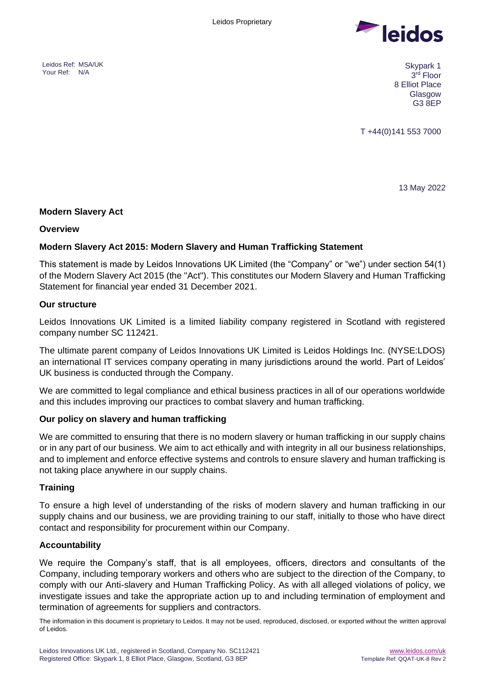<span id="page-0-1"></span><span id="page-0-0"></span>



3 rd Floor 8 Elliot Place Glasgow G3 8EP

T +44(0)141 553 7000

13 May 2022

### <span id="page-0-2"></span>**Modern Slavery Act**

### **Overview**

## **Modern Slavery Act 2015: Modern Slavery and Human Trafficking Statement**

This statement is made by Leidos Innovations UK Limited (the "Company" or "we") under section 54(1) of the Modern Slavery Act 2015 (the "Act"). This constitutes our Modern Slavery and Human Trafficking Statement for financial year ended 31 December 2021.

### **Our structure**

Leidos Innovations UK Limited is a limited liability company registered in Scotland with registered company number SC 112421.

The ultimate parent company of Leidos Innovations UK Limited is Leidos Holdings Inc. (NYSE:LDOS) an international IT services company operating in many jurisdictions around the world. Part of Leidos' UK business is conducted through the Company.

We are committed to legal compliance and ethical business practices in all of our operations worldwide and this includes improving our practices to combat slavery and human trafficking.

### **Our policy on slavery and human trafficking**

We are committed to ensuring that there is no modern slavery or human trafficking in our supply chains or in any part of our business. We aim to act ethically and with integrity in all our business relationships, and to implement and enforce effective systems and controls to ensure slavery and human trafficking is not taking place anywhere in our supply chains.

### **Training**

To ensure a high level of understanding of the risks of modern slavery and human trafficking in our supply chains and our business, we are providing training to our staff, initially to those who have direct contact and responsibility for procurement within our Company.

### **Accountability**

We require the Company's staff, that is all employees, officers, directors and consultants of the Company, including temporary workers and others who are subject to the direction of the Company, to comply with our Anti-slavery and Human Trafficking Policy. As with all alleged violations of policy, we investigate issues and take the appropriate action up to and including termination of employment and termination of agreements for suppliers and contractors.

The information in this document is proprietary to Leidos. It may not be used, reproduced, disclosed, or exported without the written approval of Leidos.